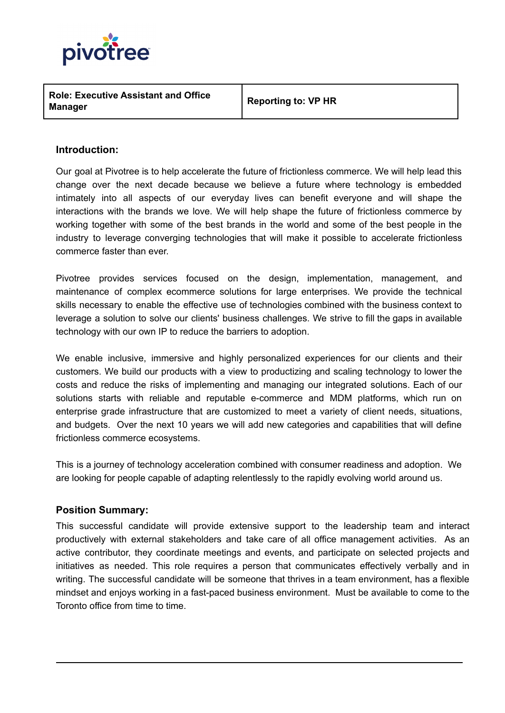

**Role: Executive Assistant and Office Manager**

**Reporting to: VP HR**

# **Introduction:**

Our goal at Pivotree is to help accelerate the future of frictionless commerce. We will help lead this change over the next decade because we believe a future where technology is embedded intimately into all aspects of our everyday lives can benefit everyone and will shape the interactions with the brands we love. We will help shape the future of frictionless commerce by working together with some of the best brands in the world and some of the best people in the industry to leverage converging technologies that will make it possible to accelerate frictionless commerce faster than ever.

Pivotree provides services focused on the design, implementation, management, and maintenance of complex ecommerce solutions for large enterprises. We provide the technical skills necessary to enable the effective use of technologies combined with the business context to leverage a solution to solve our clients' business challenges. We strive to fill the gaps in available technology with our own IP to reduce the barriers to adoption.

We enable inclusive, immersive and highly personalized experiences for our clients and their customers. We build our products with a view to productizing and scaling technology to lower the costs and reduce the risks of implementing and managing our integrated solutions. Each of our solutions starts with reliable and reputable e-commerce and MDM platforms, which run on enterprise grade infrastructure that are customized to meet a variety of client needs, situations, and budgets. Over the next 10 years we will add new categories and capabilities that will define frictionless commerce ecosystems.

This is a journey of technology acceleration combined with consumer readiness and adoption. We are looking for people capable of adapting relentlessly to the rapidly evolving world around us.

#### **Position Summary:**

This successful candidate will provide extensive support to the leadership team and interact productively with external stakeholders and take care of all office management activities. As an active contributor, they coordinate meetings and events, and participate on selected projects and initiatives as needed. This role requires a person that communicates effectively verbally and in writing. The successful candidate will be someone that thrives in a team environment, has a flexible mindset and enjoys working in a fast-paced business environment. Must be available to come to the Toronto office from time to time.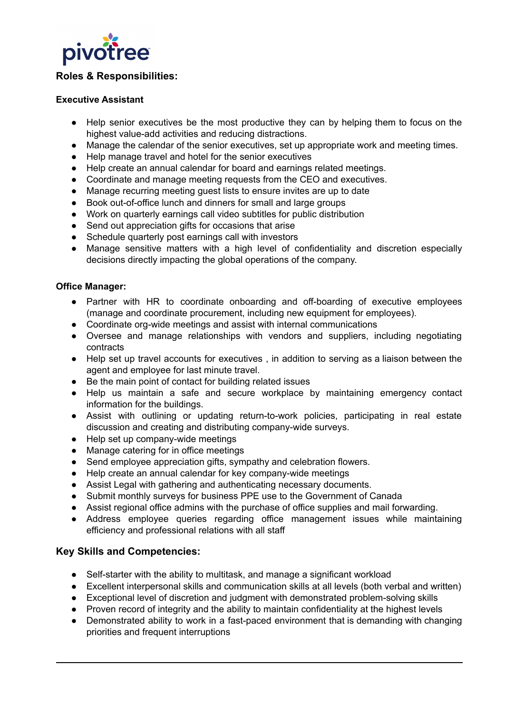

# **Roles & Responsibilities:**

#### **Executive Assistant**

- Help senior executives be the most productive they can by helping them to focus on the highest value-add activities and reducing distractions.
- Manage the calendar of the senior executives, set up appropriate work and meeting times.
- Help manage travel and hotel for the senior executives
- Help create an annual calendar for board and earnings related meetings.
- Coordinate and manage meeting requests from the CEO and executives.
- Manage recurring meeting guest lists to ensure invites are up to date
- Book out-of-office lunch and dinners for small and large groups
- Work on quarterly earnings call video subtitles for public distribution
- Send out appreciation gifts for occasions that arise
- Schedule quarterly post earnings call with investors
- Manage sensitive matters with a high level of confidentiality and discretion especially decisions directly impacting the global operations of the company.

#### **Office Manager:**

- Partner with HR to coordinate onboarding and off-boarding of executive employees (manage and coordinate procurement, including new equipment for employees).
- Coordinate org-wide meetings and assist with internal communications
- Oversee and manage relationships with vendors and suppliers, including negotiating contracts
- Help set up travel accounts for executives , in addition to serving as a liaison between the agent and employee for last minute travel.
- Be the main point of contact for building related issues
- Help us maintain a safe and secure workplace by maintaining emergency contact information for the buildings.
- Assist with outlining or updating return-to-work policies, participating in real estate discussion and creating and distributing company-wide surveys.
- Help set up company-wide meetings
- Manage catering for in office meetings
- Send employee appreciation gifts, sympathy and celebration flowers.
- Help create an annual calendar for key company-wide meetings
- Assist Legal with gathering and authenticating necessary documents.
- Submit monthly surveys for business PPE use to the Government of Canada
- Assist regional office admins with the purchase of office supplies and mail forwarding.
- Address employee queries regarding office management issues while maintaining efficiency and professional relations with all staff

# **Key Skills and Competencies:**

- Self-starter with the ability to multitask, and manage a significant workload
- Excellent interpersonal skills and communication skills at all levels (both verbal and written)
- Exceptional level of discretion and judgment with demonstrated problem-solving skills
- Proven record of integrity and the ability to maintain confidentiality at the highest levels
- Demonstrated ability to work in a fast-paced environment that is demanding with changing priorities and frequent interruptions